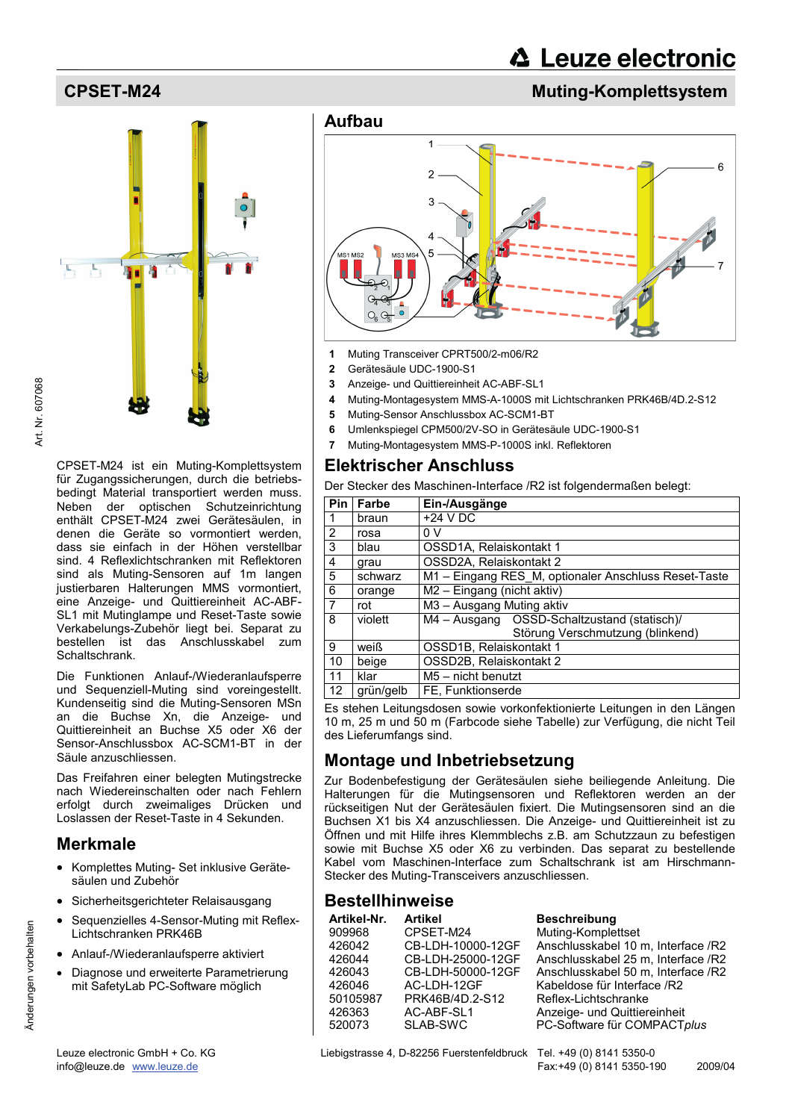Art. Nr. 607068 Art. Nr. 607068

> CPSET-M24 ist ein Muting-Komplettsystem für Zugangssicherungen, durch die betriebsbedingt Material transportiert werden muss. Neben der optischen Schutzeinrichtung enthält CPSET-M24 zwei Gerätesäulen, in denen die Geräte so vormontiert werden, dass sie einfach in der Höhen verstellbar sind. 4 Reflexlichtschranken mit Reflektoren sind als Muting-Sensoren auf 1m langen justierbaren Halterungen MMS vormontiert, eine Anzeige- und Quittiereinheit AC-ABF-SL1 mit Mutinglampe und Reset-Taste sowie Verkabelungs-Zubehör liegt bei. Separat zu bestellen ist das Anschlusskabel zum Schaltschrank.

> Die Funktionen Anlauf-/Wiederanlaufsperre und Sequenziell-Muting sind voreingestellt. Kundenseitig sind die Muting-Sensoren MSn an die Buchse Xn, die Anzeige- und Quittiereinheit an Buchse X5 oder X6 der Sensor-Anschlussbox AC-SCM1-BT in der Säule anzuschliessen.

> Das Freifahren einer belegten Mutingstrecke nach Wiedereinschalten oder nach Fehlern erfolgt durch zweimaliges Drücken und Loslassen der Reset-Taste in 4 Sekunden.

# **Merkmale**

Änderungen vorbehalten

Änderungen vorbehalten

- Komplettes Muting- Set inklusive Gerätesäulen und Zubehör
- Sicherheitsgerichteter Relaisausgang
- Sequenzielles 4-Sensor-Muting mit Reflex-Lichtschranken PRK46B
- Anlauf-/Wiederanlaufsperre aktiviert
- Diagnose und erweiterte Parametrierung mit SafetyLab PC-Software möglich



# **CPSET-M24 CPSET-M24 CPSET-M24 Muting-Komplettsystem**



- **1** Muting Transceiver CPRT500/2-m06/R2
- **2** Gerätesäule UDC-1900-S1
- **3** Anzeige- und Quittiereinheit AC-ABF-SL1
- **4** Muting-Montagesystem MMS-A-1000S mit Lichtschranken PRK46B/4D.2-S12
- **5** Muting-Sensor Anschlussbox AC-SCM1-BT
- **6** Umlenkspiegel CPM500/2V-SO in Gerätesäule UDC-1900-S1
- **7** Muting-Montagesystem MMS-P-1000S inkl. Reflektoren

# **Elektrischer Anschluss**

Der Stecker des Maschinen-Interface /R2 ist folgendermaßen belegt:

| Pin            | Farbe     | Ein-/Ausgänge                                        |  |
|----------------|-----------|------------------------------------------------------|--|
| $\mathbf{1}$   | braun     | $+24$ V DC                                           |  |
| $\overline{2}$ | rosa      | 0 V                                                  |  |
| $\overline{3}$ | blau      | OSSD1A, Relaiskontakt 1                              |  |
| $\overline{4}$ | grau      | OSSD2A, Relaiskontakt 2                              |  |
| 5              | schwarz   | M1 - Eingang RES M, optionaler Anschluss Reset-Taste |  |
| $\overline{6}$ | orange    | M2 - Eingang (nicht aktiv)                           |  |
| $\overline{7}$ | rot       | M3 - Ausgang Muting aktiv                            |  |
| $\overline{8}$ | violett   | M4 - Ausgang OSSD-Schaltzustand (statisch)/          |  |
|                |           | Störung Verschmutzung (blinkend)                     |  |
| 9              | weiß      | OSSD1B, Relaiskontakt 1                              |  |
| 10             | beige     | OSSD2B, Relaiskontakt 2                              |  |
| 11             | klar      | $M5 -$ nicht benutzt                                 |  |
| 12             | grün/gelb | FE, Funktionserde                                    |  |

Es stehen Leitungsdosen sowie vorkonfektionierte Leitungen in den Längen 10 m, 25 m und 50 m (Farbcode siehe Tabelle) zur Verfügung, die nicht Teil des Lieferumfangs sind.

# **Montage und Inbetriebsetzung**

Zur Bodenbefestigung der Gerätesäulen siehe beiliegende Anleitung. Die Halterungen für die Mutingsensoren und Reflektoren werden an der rückseitigen Nut der Gerätesäulen fixiert. Die Mutingsensoren sind an die Buchsen X1 bis X4 anzuschliessen. Die Anzeige- und Quittiereinheit ist zu Öffnen und mit Hilfe ihres Klemmblechs z.B. am Schutzzaun zu befestigen sowie mit Buchse X5 oder X6 zu verbinden. Das separat zu bestellende Kabel vom Maschinen-Interface zum Schaltschrank ist am Hirschmann-Stecker des Muting-Transceivers anzuschliessen.

# **Bestellhinweise**

| Artikel-Nr. | <b>Artikel</b>    | <b>Besch</b> |
|-------------|-------------------|--------------|
| 909968      | CPSET-M24         | Muting-      |
| 426042      | CB-LDH-10000-12GF | Anschl       |
| 426044      | CB-LDH-25000-12GF | Anschl       |
| 426043      | CB-LDH-50000-12GF | Anschl       |
| 426046      | AC-LDH-12GF       | Kabeld       |
| 50105987    | PRK46B/4D.2-S12   | Reflex-      |
| 426363      | AC-ABF-SL1        | Anzeig       |
| 520073      | SLAB-SWC          | PC-Sof       |
|             |                   |              |

reibung -Komplettset usskabel 10 m, Interface /R2 usskabel 25 m, Interface /R2 usskabel 50 m, Interface /R2 ose für Interface /R2 -Lichtschranke e- und Quittiereinheit ftware für COMPACT*plus*